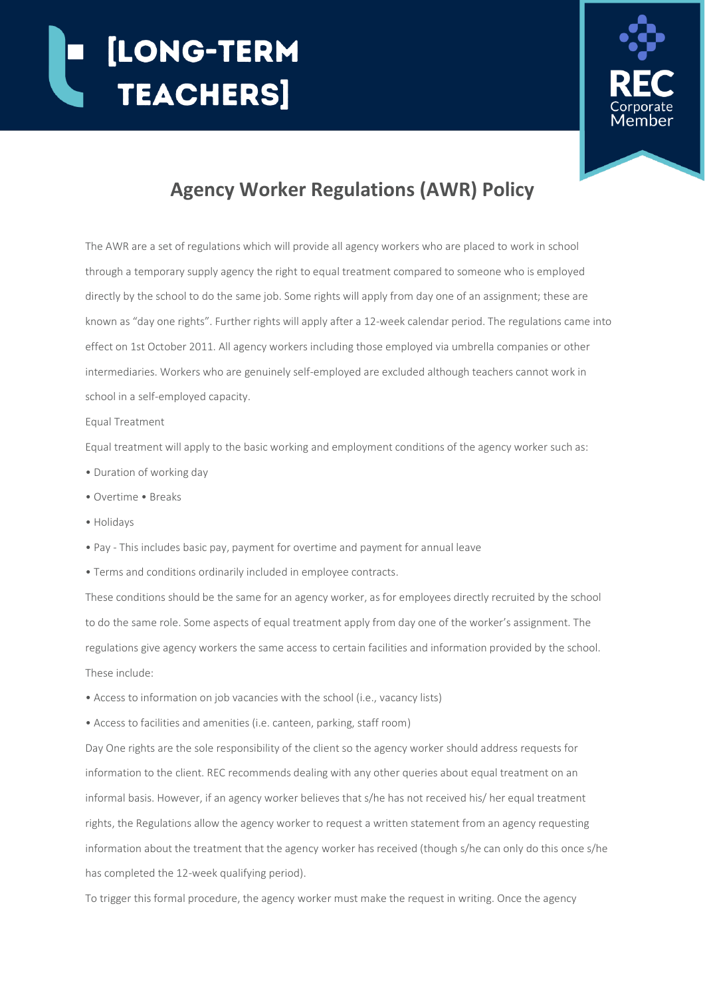## [LONG-TERM **TEACHERS**



## **Agency Worker Regulations (AWR) Policy**

The AWR are a set of regulations which will provide all agency workers who are placed to work in school through a temporary supply agency the right to equal treatment compared to someone who is employed directly by the school to do the same job. Some rights will apply from day one of an assignment; these are known as "day one rights". Further rights will apply after a 12-week calendar period. The regulations came into effect on 1st October 2011. All agency workers including those employed via umbrella companies or other intermediaries. Workers who are genuinely self-employed are excluded although teachers cannot work in school in a self-employed capacity.

## Equal Treatment

Equal treatment will apply to the basic working and employment conditions of the agency worker such as:

- Duration of working day
- Overtime Breaks
- Holidays
- Pay This includes basic pay, payment for overtime and payment for annual leave
- Terms and conditions ordinarily included in employee contracts.

These conditions should be the same for an agency worker, as for employees directly recruited by the school to do the same role. Some aspects of equal treatment apply from day one of the worker's assignment. The regulations give agency workers the same access to certain facilities and information provided by the school. These include:

- Access to information on job vacancies with the school (i.e., vacancy lists)
- Access to facilities and amenities (i.e. canteen, parking, staff room)

Day One rights are the sole responsibility of the client so the agency worker should address requests for information to the client. REC recommends dealing with any other queries about equal treatment on an informal basis. However, if an agency worker believes that s/he has not received his/ her equal treatment rights, the Regulations allow the agency worker to request a written statement from an agency requesting information about the treatment that the agency worker has received (though s/he can only do this once s/he has completed the 12-week qualifying period).

To trigger this formal procedure, the agency worker must make the request in writing. Once the agency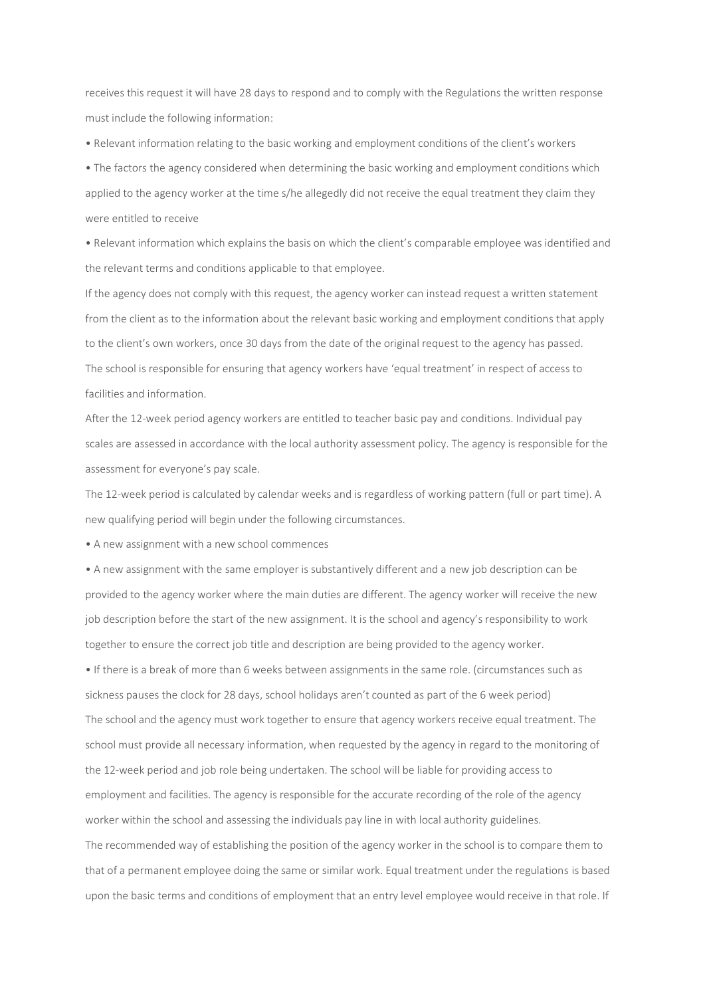receives this request it will have 28 days to respond and to comply with the Regulations the written response must include the following information:

• Relevant information relating to the basic working and employment conditions of the client's workers

• The factors the agency considered when determining the basic working and employment conditions which applied to the agency worker at the time s/he allegedly did not receive the equal treatment they claim they were entitled to receive

• Relevant information which explains the basis on which the client's comparable employee was identified and the relevant terms and conditions applicable to that employee.

If the agency does not comply with this request, the agency worker can instead request a written statement from the client as to the information about the relevant basic working and employment conditions that apply to the client's own workers, once 30 days from the date of the original request to the agency has passed. The school is responsible for ensuring that agency workers have 'equal treatment' in respect of access to facilities and information.

After the 12-week period agency workers are entitled to teacher basic pay and conditions. Individual pay scales are assessed in accordance with the local authority assessment policy. The agency is responsible for the assessment for everyone's pay scale.

The 12-week period is calculated by calendar weeks and is regardless of working pattern (full or part time). A new qualifying period will begin under the following circumstances.

• A new assignment with a new school commences

• A new assignment with the same employer is substantively different and a new job description can be provided to the agency worker where the main duties are different. The agency worker will receive the new job description before the start of the new assignment. It is the school and agency's responsibility to work together to ensure the correct job title and description are being provided to the agency worker.

• If there is a break of more than 6 weeks between assignments in the same role. (circumstances such as sickness pauses the clock for 28 days, school holidays aren't counted as part of the 6 week period) The school and the agency must work together to ensure that agency workers receive equal treatment. The school must provide all necessary information, when requested by the agency in regard to the monitoring of the 12-week period and job role being undertaken. The school will be liable for providing access to employment and facilities. The agency is responsible for the accurate recording of the role of the agency worker within the school and assessing the individuals pay line in with local authority guidelines. The recommended way of establishing the position of the agency worker in the school is to compare them to that of a permanent employee doing the same or similar work. Equal treatment under the regulations is based upon the basic terms and conditions of employment that an entry level employee would receive in that role. If